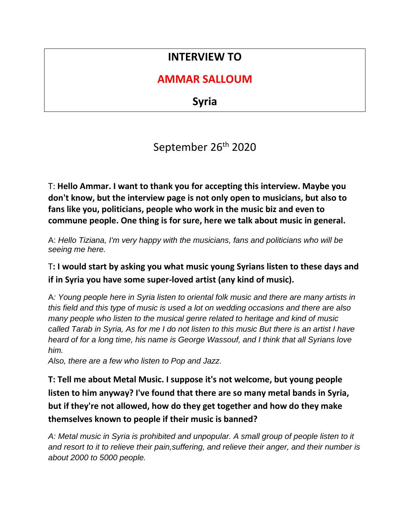# **INTERVIEW TO**

## **AMMAR SALLOUM**

**Syria**

September 26<sup>th</sup> 2020

T: **Hello Ammar. I want to thank you for accepting this interview. Maybe you don't know, but the interview page is not only open to musicians, but also to fans like you, politicians, people who work in the music biz and even to commune people. One thing is for sure, here we talk about music in general.**

A: *Hello Tiziana, I'm very happy with the musicians, fans and politicians who will be seeing me here.* 

T**: I would start by asking you what music young Syrians listen to these days and if in Syria you have some super-loved artist (any kind of music).**

A*: Young people here in Syria listen to oriental folk music and there are many artists in this field and this type of music is used a lot on wedding occasions and there are also many people who listen to the musical genre related to heritage and kind of music called Tarab in Syria, As for me I do not listen to this music But there is an artist I have heard of for a long time, his name is George Wassouf, and I think that all Syrians love him.*

*Also, there are a few who listen to Pop and Jazz.*

**T: Tell me about Metal Music. I suppose it's not welcome, but young people listen to him anyway? I've found that there are so many metal bands in Syria, but if they're not allowed, how do they get together and how do they make themselves known to people if their music is banned?**

*A: Metal music in Syria is prohibited and unpopular. A small group of people listen to it and resort to it to relieve their pain,suffering, and relieve their anger, and their number is about 2000 to 5000 people.*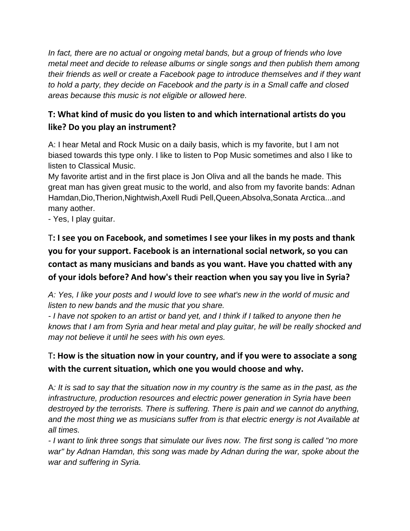*In fact, there are no actual or ongoing metal bands, but a group of friends who love metal meet and decide to release albums or single songs and then publish them among their friends as well or create a Facebook page to introduce themselves and if they want to hold a party, they decide on Facebook and the party is in a Small caffe and closed areas because this music is not eligible or allowed here.*

## **T: What kind of music do you listen to and which international artists do you like? Do you play an instrument?**

A: I hear Metal and Rock Music on a daily basis, which is my favorite, but I am not biased towards this type only. I like to listen to Pop Music sometimes and also I like to listen to Classical Music.

My favorite artist and in the first place is Jon Oliva and all the bands he made. This great man has given great music to the world, and also from my favorite bands: Adnan Hamdan,Dio,Therion,Nightwish,Axell Rudi Pell,Queen,Absolva,Sonata Arctica...and many aother.

- Yes, I play guitar.

## T**: I see you on Facebook, and sometimes I see your likes in my posts and thank you for your support. Facebook is an international social network, so you can contact as many musicians and bands as you want. Have you chatted with any of your idols before? And how's their reaction when you say you live in Syria?**

*A: Yes, I like your posts and I would love to see what's new in the world of music and listen to new bands and the music that you share.*

*- I have not spoken to an artist or band yet, and I think if I talked to anyone then he knows that I am from Syria and hear metal and play guitar, he will be really shocked and may not believe it until he sees with his own eyes.*

## T**: How is the situation now in your country, and if you were to associate a song with the current situation, which one you would choose and why.**

A*: It is sad to say that the situation now in my country is the same as in the past, as the infrastructure, production resources and electric power generation in Syria have been destroyed by the terrorists. There is suffering. There is pain and we cannot do anything, and the most thing we as musicians suffer from is that electric energy is not Available at all times.*

*- I want to link three songs that simulate our lives now. The first song is called "no more war" by Adnan Hamdan, this song was made by Adnan during the war, spoke about the war and suffering in Syria.*